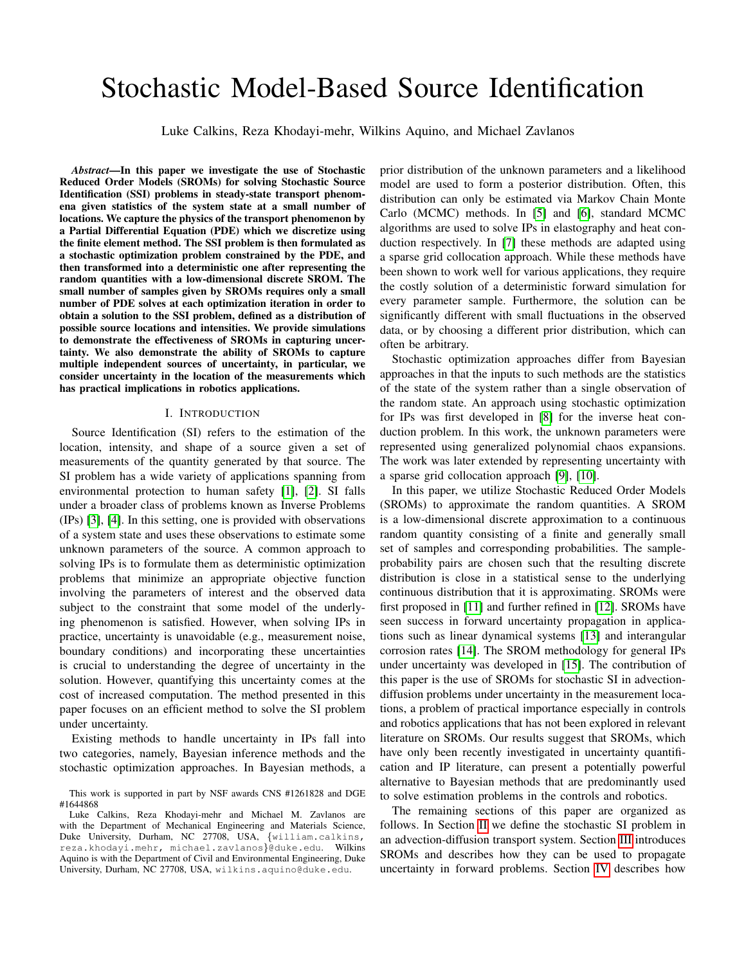# Stochastic Model-Based Source Identification

Luke Calkins, Reza Khodayi-mehr, Wilkins Aquino, and Michael Zavlanos

*Abstract*—In this paper we investigate the use of Stochastic Reduced Order Models (SROMs) for solving Stochastic Source Identification (SSI) problems in steady-state transport phenomena given statistics of the system state at a small number of locations. We capture the physics of the transport phenomenon by a Partial Differential Equation (PDE) which we discretize using the finite element method. The SSI problem is then formulated as a stochastic optimization problem constrained by the PDE, and then transformed into a deterministic one after representing the random quantities with a low-dimensional discrete SROM. The small number of samples given by SROMs requires only a small number of PDE solves at each optimization iteration in order to obtain a solution to the SSI problem, defined as a distribution of possible source locations and intensities. We provide simulations to demonstrate the effectiveness of SROMs in capturing uncertainty. We also demonstrate the ability of SROMs to capture multiple independent sources of uncertainty, in particular, we consider uncertainty in the location of the measurements which has practical implications in robotics applications.

#### I. INTRODUCTION

Source Identification (SI) refers to the estimation of the location, intensity, and shape of a source given a set of measurements of the quantity generated by that source. The SI problem has a wide variety of applications spanning from environmental protection to human safety [\[1\]](#page-5-0), [\[2\]](#page-5-1). SI falls under a broader class of problems known as Inverse Problems (IPs) [\[3\]](#page-5-2), [\[4\]](#page-5-3). In this setting, one is provided with observations of a system state and uses these observations to estimate some unknown parameters of the source. A common approach to solving IPs is to formulate them as deterministic optimization problems that minimize an appropriate objective function involving the parameters of interest and the observed data subject to the constraint that some model of the underlying phenomenon is satisfied. However, when solving IPs in practice, uncertainty is unavoidable (e.g., measurement noise, boundary conditions) and incorporating these uncertainties is crucial to understanding the degree of uncertainty in the solution. However, quantifying this uncertainty comes at the cost of increased computation. The method presented in this paper focuses on an efficient method to solve the SI problem under uncertainty.

Existing methods to handle uncertainty in IPs fall into two categories, namely, Bayesian inference methods and the stochastic optimization approaches. In Bayesian methods, a prior distribution of the unknown parameters and a likelihood model are used to form a posterior distribution. Often, this distribution can only be estimated via Markov Chain Monte Carlo (MCMC) methods. In [\[5\]](#page-5-4) and [\[6\]](#page-5-5), standard MCMC algorithms are used to solve IPs in elastography and heat conduction respectively. In [\[7\]](#page-5-6) these methods are adapted using a sparse grid collocation approach. While these methods have been shown to work well for various applications, they require the costly solution of a deterministic forward simulation for every parameter sample. Furthermore, the solution can be significantly different with small fluctuations in the observed data, or by choosing a different prior distribution, which can often be arbitrary.

Stochastic optimization approaches differ from Bayesian approaches in that the inputs to such methods are the statistics of the state of the system rather than a single observation of the random state. An approach using stochastic optimization for IPs was first developed in [\[8\]](#page-5-7) for the inverse heat conduction problem. In this work, the unknown parameters were represented using generalized polynomial chaos expansions. The work was later extended by representing uncertainty with a sparse grid collocation approach [\[9\]](#page-5-8), [\[10\]](#page-5-9).

In this paper, we utilize Stochastic Reduced Order Models (SROMs) to approximate the random quantities. A SROM is a low-dimensional discrete approximation to a continuous random quantity consisting of a finite and generally small set of samples and corresponding probabilities. The sampleprobability pairs are chosen such that the resulting discrete distribution is close in a statistical sense to the underlying continuous distribution that it is approximating. SROMs were first proposed in [\[11\]](#page-5-10) and further refined in [\[12\]](#page-5-11). SROMs have seen success in forward uncertainty propagation in applications such as linear dynamical systems [\[13\]](#page-5-12) and interangular corrosion rates [\[14\]](#page-5-13). The SROM methodology for general IPs under uncertainty was developed in [\[15\]](#page-5-14). The contribution of this paper is the use of SROMs for stochastic SI in advectiondiffusion problems under uncertainty in the measurement locations, a problem of practical importance especially in controls and robotics applications that has not been explored in relevant literature on SROMs. Our results suggest that SROMs, which have only been recently investigated in uncertainty quantification and IP literature, can present a potentially powerful alternative to Bayesian methods that are predominantly used to solve estimation problems in the controls and robotics.

The remaining sections of this paper are organized as follows. In Section [II](#page-1-0) we define the stochastic SI problem in an advection-diffusion transport system. Section [III](#page-1-1) introduces SROMs and describes how they can be used to propagate uncertainty in forward problems. Section [IV](#page-2-0) describes how

This work is supported in part by NSF awards CNS #1261828 and DGE #1644868

Luke Calkins, Reza Khodayi-mehr and Michael M. Zavlanos are with the Department of Mechanical Engineering and Materials Science, Duke University, Durham, NC 27708, USA, {william.calkins, reza.khodayi.mehr, michael.zavlanos}@duke.edu. Wilkins Aquino is with the Department of Civil and Environmental Engineering, Duke University, Durham, NC 27708, USA, wilkins.aquino@duke.edu.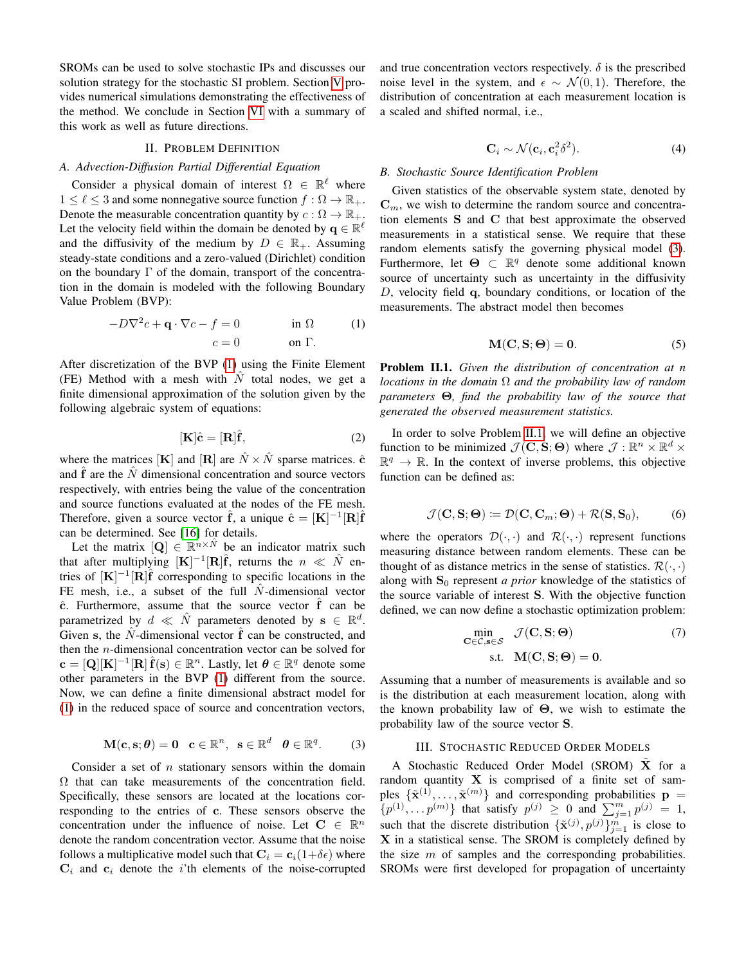SROMs can be used to solve stochastic IPs and discusses our solution strategy for the stochastic SI problem. Section [V](#page-3-0) provides numerical simulations demonstrating the effectiveness of the method. We conclude in Section [VI](#page-5-15) with a summary of this work as well as future directions.

## II. PROBLEM DEFINITION

# <span id="page-1-0"></span>*A. Advection-Diffusion Partial Differential Equation*

Consider a physical domain of interest  $\Omega \in \mathbb{R}^{\ell}$  where  $1 \leq \ell \leq 3$  and some nonnegative source function  $f : \Omega \to \mathbb{R}_+$ . Denote the measurable concentration quantity by  $c : \Omega \to \mathbb{R}_+$ . Let the velocity field within the domain be denoted by  $\mathbf{q} \in \mathbb{R}^{\ell}$ and the diffusivity of the medium by  $D \in \mathbb{R}_+$ . Assuming steady-state conditions and a zero-valued (Dirichlet) condition on the boundary  $\Gamma$  of the domain, transport of the concentration in the domain is modeled with the following Boundary Value Problem (BVP):

$$
-D\nabla^2 c + \mathbf{q} \cdot \nabla c - f = 0 \qquad \text{in } \Omega \qquad (1)
$$

$$
c = 0 \qquad \text{on } \Gamma.
$$

After discretization of the BVP [\(1\)](#page-1-2) using the Finite Element (FE) Method with a mesh with  $\hat{N}$  total nodes, we get a finite dimensional approximation of the solution given by the following algebraic system of equations:

<span id="page-1-6"></span>
$$
[\mathbf{K}]\hat{\mathbf{c}} = [\mathbf{R}]\hat{\mathbf{f}},\tag{2}
$$

where the matrices [K] and [R] are  $\hat{N} \times \hat{N}$  sparse matrices.  $\hat{c}$ and  $\hat{f}$  are the  $\hat{N}$  dimensional concentration and source vectors respectively, with entries being the value of the concentration and source functions evaluated at the nodes of the FE mesh. Therefore, given a source vector  $\hat{\mathbf{f}}$ , a unique  $\hat{\mathbf{c}} = [\mathbf{K}]^{-1} [\mathbf{R}] \hat{\mathbf{f}}$ can be determined. See [\[16\]](#page-5-16) for details.

Let the matrix  $[Q] \in \mathbb{R}^{n \times \hat{N}}$  be an indicator matrix such that after multiplying  $[\mathbf{K}]^{-1}[\mathbf{R}]\hat{\mathbf{f}}$ , returns the  $n \ll \hat{N}$  entries of  $[K]^{-1}[\hat{R}]\hat{f}$  corresponding to specific locations in the FE mesh, i.e., a subset of the full  $\hat{N}$ -dimensional vector  $\hat{c}$ . Furthermore, assume that the source vector  $\hat{f}$  can be parametrized by  $d \ll \hat{N}$  parameters denoted by  $\mathbf{s} \in \mathbb{R}^d$ . Given s, the  $\ddot{N}$ -dimensional vector  $\ddot{f}$  can be constructed, and then the n-dimensional concentration vector can be solved for  $\mathbf{c} = [\mathbf{Q}][\mathbf{K}]^{-1}[\mathbf{R}]\hat{\mathbf{f}}(\mathbf{s}) \in \mathbb{R}^n$ . Lastly, let  $\boldsymbol{\theta} \in \mathbb{R}^q$  denote some other parameters in the BVP [\(1\)](#page-1-2) different from the source. Now, we can define a finite dimensional abstract model for [\(1\)](#page-1-2) in the reduced space of source and concentration vectors,

$$
\mathbf{M}(\mathbf{c}, \mathbf{s}; \boldsymbol{\theta}) = \mathbf{0} \quad \mathbf{c} \in \mathbb{R}^n, \ \ \mathbf{s} \in \mathbb{R}^d \quad \boldsymbol{\theta} \in \mathbb{R}^q. \tag{3}
$$

Consider a set of  $n$  stationary sensors within the domain  $\Omega$  that can take measurements of the concentration field. Specifically, these sensors are located at the locations corresponding to the entries of c. These sensors observe the concentration under the influence of noise. Let  $C \in \mathbb{R}^n$ denote the random concentration vector. Assume that the noise follows a multiplicative model such that  $\mathbf{C}_i = \mathbf{c}_i(1+\delta \epsilon)$  where  $C_i$  and  $c_i$  denote the *i*'th elements of the noise-corrupted and true concentration vectors respectively.  $\delta$  is the prescribed noise level in the system, and  $\epsilon \sim \mathcal{N}(0, 1)$ . Therefore, the distribution of concentration at each measurement location is a scaled and shifted normal, i.e.,

<span id="page-1-7"></span>
$$
\mathbf{C}_i \sim \mathcal{N}(\mathbf{c}_i, \mathbf{c}_i^2 \delta^2). \tag{4}
$$

#### *B. Stochastic Source Identification Problem*

Given statistics of the observable system state, denoted by  $\mathbf{C}_m$ , we wish to determine the random source and concentration elements S and C that best approximate the observed measurements in a statistical sense. We require that these random elements satisfy the governing physical model [\(3\)](#page-1-3). Furthermore, let  $\Theta \subset \mathbb{R}^q$  denote some additional known source of uncertainty such as uncertainty in the diffusivity D, velocity field q, boundary conditions, or location of the measurements. The abstract model then becomes

$$
M(C, S; \Theta) = 0. \tag{5}
$$

<span id="page-1-4"></span><span id="page-1-2"></span>Problem II.1. *Given the distribution of concentration at n locations in the domain* Ω *and the probability law of random parameters* Θ*, find the probability law of the source that generated the observed measurement statistics.*

In order to solve Problem [II.1,](#page-1-4) we will define an objective function to be minimized  $\mathcal{J}(\mathbf{C}, \mathbf{S}; \mathbf{\Theta})$  where  $\mathcal{J} : \mathbb{R}^n \times \mathbb{R}^d \times$  $\mathbb{R}^q \to \mathbb{R}$ . In the context of inverse problems, this objective function can be defined as:

$$
\mathcal{J}(\mathbf{C}, \mathbf{S}; \mathbf{\Theta}) \coloneqq \mathcal{D}(\mathbf{C}, \mathbf{C}_m; \mathbf{\Theta}) + \mathcal{R}(\mathbf{S}, \mathbf{S}_0), \tag{6}
$$

where the operators  $\mathcal{D}(\cdot, \cdot)$  and  $\mathcal{R}(\cdot, \cdot)$  represent functions measuring distance between random elements. These can be thought of as distance metrics in the sense of statistics.  $\mathcal{R}(\cdot, \cdot)$ along with  $S_0$  represent *a prior* knowledge of the statistics of the source variable of interest S. With the objective function defined, we can now define a stochastic optimization problem:

<span id="page-1-5"></span>
$$
\min_{\mathbf{C}\in\mathcal{C},\mathbf{s}\in\mathcal{S}}\quad\mathcal{J}(\mathbf{C},\mathbf{S};\Theta)
$$
\n
$$
\text{s.t.}\quad\mathbf{M}(\mathbf{C},\mathbf{S};\Theta)=\mathbf{0}.
$$
\n(7)

Assuming that a number of measurements is available and so is the distribution at each measurement location, along with the known probability law of  $\Theta$ , we wish to estimate the probability law of the source vector S.

## III. STOCHASTIC REDUCED ORDER MODELS

<span id="page-1-3"></span><span id="page-1-1"></span>A Stochastic Reduced Order Model (SROM) X for a random quantity  $X$  is comprised of a finite set of samples  $\{\tilde{\mathbf{x}}^{(1)}, \ldots, \tilde{\mathbf{x}}^{(m)}\}$  and corresponding probabilities  $\mathbf{p} =$  $\{p^{(1)}, \ldots p^{(m)}\}\)$  that satisfy  $p^{(j)} \geq 0$  and  $\sum_{j=1}^{m} p^{(j)} = 1$ , such that the discrete distribution  $\{\tilde{\mathbf{x}}^{(j)}, p^{(j)}\}_{j=1}^m$  is close to X in a statistical sense. The SROM is completely defined by the size  $m$  of samples and the corresponding probabilities. SROMs were first developed for propagation of uncertainty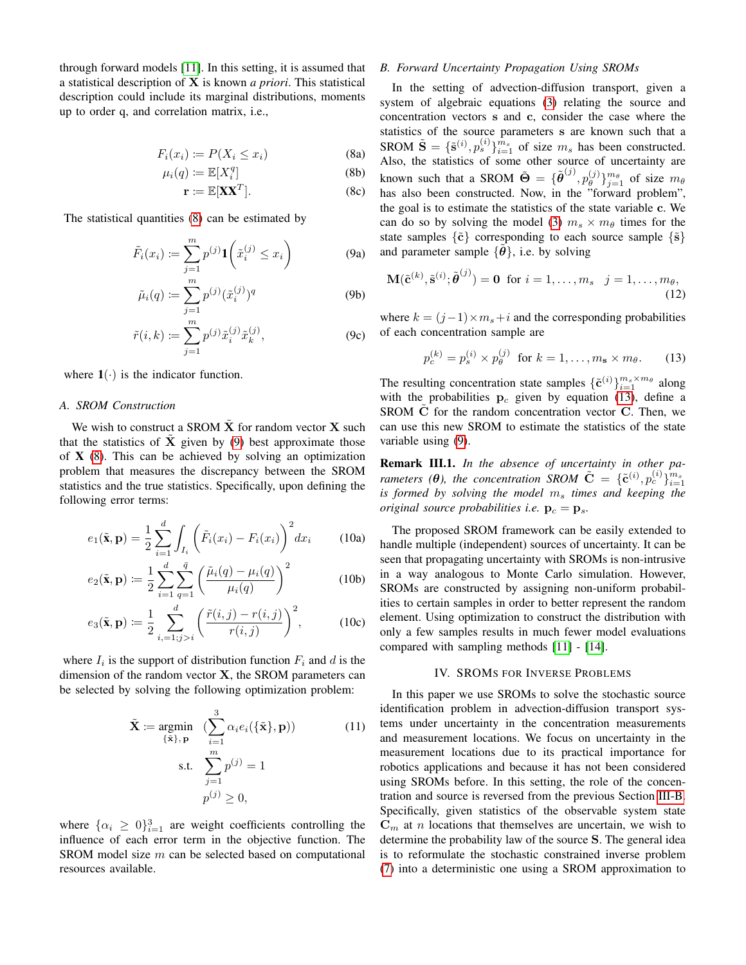through forward models [\[11\]](#page-5-10). In this setting, it is assumed that a statistical description of X is known *a priori*. This statistical description could include its marginal distributions, moments up to order q, and correlation matrix, i.e.,

$$
F_i(x_i) \coloneqq P(X_i \le x_i) \tag{8a}
$$

$$
\mu_i(q) \coloneqq \mathbb{E}[X_i^q] \tag{8b}
$$

$$
\mathbf{r} \coloneqq \mathbb{E}[\mathbf{X}\mathbf{X}^T]. \tag{8c}
$$

The statistical quantities [\(8\)](#page-2-1) can be estimated by

$$
\tilde{F}_i(x_i) := \sum_{j=1}^m p^{(j)} \mathbf{1} \left( \tilde{x}_i^{(j)} \le x_i \right) \tag{9a}
$$

$$
\tilde{\mu}_i(q) \coloneqq \sum_{j=1}^m p^{(j)} (\tilde{x}_i^{(j)})^q \tag{9b}
$$

$$
\tilde{r}(i,k) := \sum_{j=1}^{m} p^{(j)} \tilde{x}_i^{(j)} \tilde{x}_k^{(j)},
$$
\n(9c)

where  $1(\cdot)$  is the indicator function.

## *A. SROM Construction*

We wish to construct a SROM  $\tilde{\mathbf{X}}$  for random vector  $\mathbf{X}$  such that the statistics of  $\tilde{\mathbf{X}}$  given by [\(9\)](#page-2-2) best approximate those of  $X$  [\(8\)](#page-2-1). This can be achieved by solving an optimization problem that measures the discrepancy between the SROM statistics and the true statistics. Specifically, upon defining the following error terms:

$$
e_1(\tilde{\mathbf{x}}, \mathbf{p}) = \frac{1}{2} \sum_{i=1}^d \int_{I_i} \left( \tilde{F}_i(x_i) - F_i(x_i) \right)^2 dx_i \quad (10a)
$$

$$
e_2(\tilde{\mathbf{x}}, \mathbf{p}) := \frac{1}{2} \sum_{i=1}^d \sum_{q=1}^{\bar{q}} \left( \frac{\tilde{\mu}_i(q) - \mu_i(q)}{\mu_i(q)} \right)^2 \tag{10b}
$$

$$
e_3(\tilde{\mathbf{x}}, \mathbf{p}) \coloneqq \frac{1}{2} \sum_{i,=1; j > i}^{d} \left( \frac{\tilde{r}(i, j) - r(i, j)}{r(i, j)} \right)^2, \tag{10c}
$$

where  $I_i$  is the support of distribution function  $F_i$  and d is the dimension of the random vector  $X$ , the SROM parameters can be selected by solving the following optimization problem:

$$
\tilde{\mathbf{X}} := \underset{\{\tilde{\mathbf{x}}\}, \mathbf{p}}{\text{argmin}} \quad (\sum_{i=1}^{3} \alpha_i e_i(\{\tilde{\mathbf{x}}\}, \mathbf{p})) \tag{11}
$$
\n
$$
\text{s.t.} \quad \sum_{j=1}^{m} p^{(j)} = 1
$$
\n
$$
p^{(j)} \ge 0,
$$

where  $\{\alpha_i \geq 0\}_{i=1}^3$  are weight coefficients controlling the influence of each error term in the objective function. The SROM model size m can be selected based on computational resources available.

# <span id="page-2-4"></span>*B. Forward Uncertainty Propagation Using SROMs*

<span id="page-2-1"></span>In the setting of advection-diffusion transport, given a system of algebraic equations [\(3\)](#page-1-3) relating the source and concentration vectors s and c, consider the case where the statistics of the source parameters s are known such that a SROM  $\tilde{\mathbf{S}} = {\{\tilde{\mathbf{s}}^{(i)}, p_s^{(i)}\}}_{i=1}^{m_s}$  of size  $m_s$  has been constructed. Also, the statistics of some other source of uncertainty are known such that a SROM  $\tilde{\Theta} = {\{\tilde{\theta}^{(j)}, p_{\theta}^{(j)}\}}$  $\{\theta^{(j)}\}_{j=1}^{m_\theta}$  of size  $m_\theta$ has also been constructed. Now, in the "forward problem", the goal is to estimate the statistics of the state variable c. We can do so by solving the model [\(3\)](#page-1-3)  $m_s \times m_\theta$  times for the state samples  $\{\tilde{c}\}$  corresponding to each source sample  $\{\tilde{s}\}$ and parameter sample  $\{\theta\}$ , i.e. by solving

<span id="page-2-7"></span>
$$
\mathbf{M}(\tilde{\mathbf{c}}^{(k)}, \tilde{\mathbf{s}}^{(i)}; \tilde{\boldsymbol{\theta}}^{(j)}) = \mathbf{0} \text{ for } i = 1, \dots, m_s \quad j = 1, \dots, m_\theta,
$$
\n(12)

<span id="page-2-2"></span>where  $k = (i-1) \times m_s + i$  and the corresponding probabilities of each concentration sample are

<span id="page-2-3"></span>
$$
p_c^{(k)} = p_s^{(i)} \times p_\theta^{(j)} \quad \text{for } k = 1, \dots, m_\mathbf{s} \times m_\theta. \tag{13}
$$

The resulting concentration state samples  $\{\tilde{\mathbf{c}}^{(i)}\}_{i=1}^{m_s \times m_\theta}$  along with the probabilities  $p_c$  given by equation [\(13\)](#page-2-3), define a SROM  $\dot{C}$  for the random concentration vector  $C$ . Then, we can use this new SROM to estimate the statistics of the state variable using [\(9\)](#page-2-2).

Remark III.1. *In the absence of uncertainty in other parameters (* $\theta$ *), the concentration SROM*  $\tilde{\mathbf{C}} = \{ \tilde{\mathbf{c}}^{(i)}, p_c^{(i)} \}_{i=1}^{m_s}$ *is formed by solving the model*  $m<sub>s</sub>$  *times and keeping the original source probabilities i.e.*  $\mathbf{p}_c = \mathbf{p}_s$ .

The proposed SROM framework can be easily extended to handle multiple (independent) sources of uncertainty. It can be seen that propagating uncertainty with SROMs is non-intrusive in a way analogous to Monte Carlo simulation. However, SROMs are constructed by assigning non-uniform probabilities to certain samples in order to better represent the random element. Using optimization to construct the distribution with only a few samples results in much fewer model evaluations compared with sampling methods [\[11\]](#page-5-10) - [\[14\]](#page-5-13).

# IV. SROMS FOR INVERSE PROBLEMS

<span id="page-2-6"></span><span id="page-2-5"></span><span id="page-2-0"></span>In this paper we use SROMs to solve the stochastic source identification problem in advection-diffusion transport systems under uncertainty in the concentration measurements and measurement locations. We focus on uncertainty in the measurement locations due to its practical importance for robotics applications and because it has not been considered using SROMs before. In this setting, the role of the concentration and source is reversed from the previous Section [III-B.](#page-2-4) Specifically, given statistics of the observable system state  $\mathbf{C}_m$  at *n* locations that themselves are uncertain, we wish to determine the probability law of the source S. The general idea is to reformulate the stochastic constrained inverse problem [\(7\)](#page-1-5) into a deterministic one using a SROM approximation to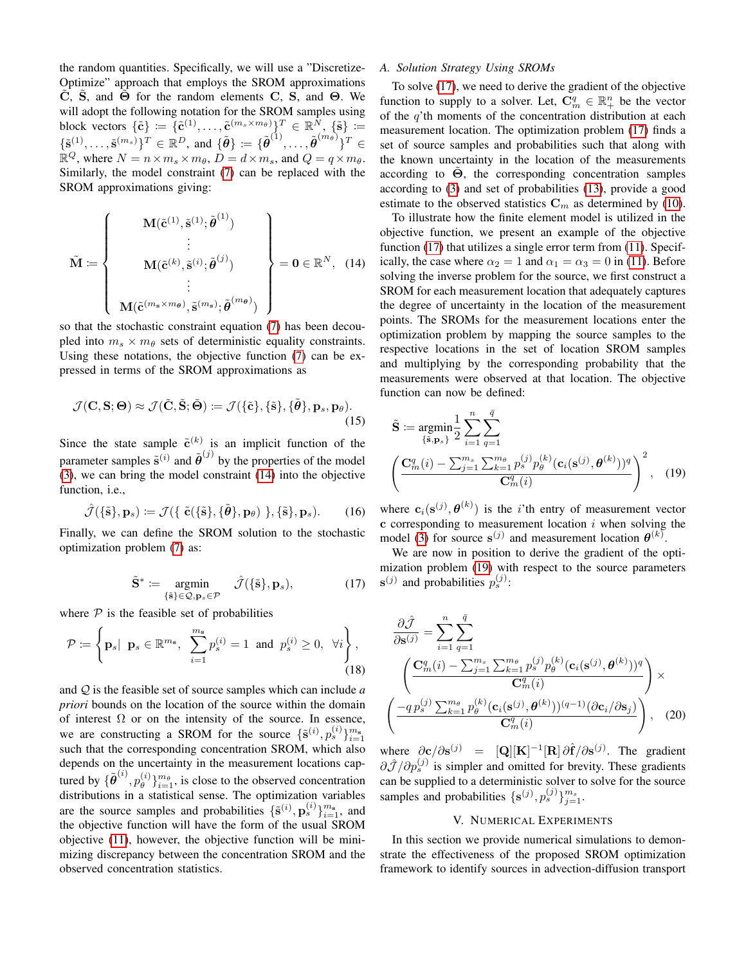the random quantities. Specifically, we will use a "Discretize-Optimize" approach that employs the SROM approximations  $\ddot{\textbf{C}}$ , S, and  $\dot{\textbf{\Theta}}$  for the random elements C, S, and  $\textbf{\Theta}$ . We will adopt the following notation for the SROM samples using block vectors  $\{\tilde{\mathbf{c}}\} := \{\tilde{\mathbf{c}}^{(1)}, \ldots, \tilde{\mathbf{c}}^{(m_s \times m_\theta)}\}^T \in \mathbb{R}^N, \{\tilde{\mathbf{s}}\} :=$  $\{\tilde{\mathbf{s}}^{(1)},\ldots,\tilde{\mathbf{s}}^{(m_s)}\}^T \in \mathbb{R}^D$ , and  $\{\tilde{\boldsymbol{\theta}}\} := \{\tilde{\boldsymbol{\theta}}^{(1)},\ldots,\tilde{\boldsymbol{\theta}}^{(m_\theta)}\}^T \in$  $\mathbb{R}^Q$ , where  $N = n \times m_s \times m_\theta$ ,  $\dot{D} = d \times m_s$ , and  $Q = q \times m_\theta$ . Similarly, the model constraint [\(7\)](#page-1-5) can be replaced with the SROM approximations giving:

$$
\tilde{\mathbf{M}} \coloneqq \left\{ \begin{array}{c} \mathbf{M}(\tilde{\mathbf{c}}^{(1)}, \tilde{\mathbf{s}}^{(1)}; \tilde{\boldsymbol{\theta}}^{(1)}) \\ \vdots \\ \mathbf{M}(\tilde{\mathbf{c}}^{(k)}, \tilde{\mathbf{s}}^{(i)}; \tilde{\boldsymbol{\theta}}^{(j)}) \\ \vdots \\ \mathbf{M}(\tilde{\mathbf{c}}^{(m_{\mathbf{s}} \times m_{\boldsymbol{\theta}})}, \tilde{\mathbf{s}}^{(m_{\mathbf{s}})}; \tilde{\boldsymbol{\theta}}^{(m_{\boldsymbol{\theta}})}) \end{array} \right\} = \mathbf{0} \in \mathbb{R}^{N}, \quad (14)
$$

so that the stochastic constraint equation [\(7\)](#page-1-5) has been decoupled into  $m_s \times m_\theta$  sets of deterministic equality constraints. Using these notations, the objective function [\(7\)](#page-1-5) can be expressed in terms of the SROM approximations as

$$
\mathcal{J}(\mathbf{C}, \mathbf{S}; \mathbf{\Theta}) \approx \mathcal{J}(\tilde{\mathbf{C}}, \tilde{\mathbf{S}}; \tilde{\mathbf{\Theta}}) \coloneqq \mathcal{J}(\{\tilde{\mathbf{c}}\}, \{\tilde{\mathbf{s}}\}, \{\tilde{\boldsymbol{\theta}}\}, \mathbf{p}_s, \mathbf{p}_\theta). \tag{15}
$$

Since the state sample  $\tilde{c}^{(k)}$  is an implicit function of the parameter samples  $\tilde{\mathbf{s}}^{(i)}$  and  $\tilde{\boldsymbol{\theta}}^{(j)}$  by the properties of the model [\(3\)](#page-1-3), we can bring the model constraint [\(14\)](#page-3-1) into the objective function, i.e.,

$$
\hat{\mathcal{J}}(\{\tilde{\mathbf{s}}\}, \mathbf{p}_s) := \mathcal{J}(\{\ \tilde{\mathbf{c}}(\{\tilde{\mathbf{s}}\}, \{\tilde{\boldsymbol{\theta}}\}, \mathbf{p}_{\theta}) \ \}, \{\tilde{\mathbf{s}}\}, \mathbf{p}_s). \tag{16}
$$

Finally, we can define the SROM solution to the stochastic optimization problem [\(7\)](#page-1-5) as:

$$
\tilde{\mathbf{S}}^* := \underset{\{\tilde{\mathbf{s}}\} \in \mathcal{Q}, \mathbf{p}_s \in \mathcal{P}}{\text{argmin}} \quad \hat{\mathcal{J}}(\{\tilde{\mathbf{s}}\}, \mathbf{p}_s), \tag{17}
$$

where  $P$  is the feasible set of probabilities

$$
\mathcal{P} \coloneqq \left\{ \mathbf{p}_s | \ \mathbf{p}_s \in \mathbb{R}^{m_{\mathbf{s}}}, \ \sum_{i=1}^{m_{\mathbf{s}}} p_s^{(i)} = 1 \ \text{and} \ p_s^{(i)} \ge 0, \ \forall i \right\},\tag{18}
$$

and Q is the feasible set of source samples which can include *a priori* bounds on the location of the source within the domain of interest  $\Omega$  or on the intensity of the source. In essence, we are constructing a SROM for the source  $\{\tilde{s}^{(i)}, p_s^{(i)}\}_{i=1}^{m_s}$ such that the corresponding concentration SROM, which also depends on the uncertainty in the measurement locations captured by  $\{\tilde{\boldsymbol{\theta}}^{(i)}, p_{\theta}^{(i)}\}$  $\binom{i}{\theta}$ <sub> $i=1$ </sub>, is close to the observed concentration distributions in a statistical sense. The optimization variables are the source samples and probabilities  $\{\tilde{s}^{(i)}, \mathbf{p}_s^{(i)}\}_{i=1}^{m_s}$ , and the objective function will have the form of the usual SROM objective [\(11\)](#page-2-5), however, the objective function will be minimizing discrepancy between the concentration SROM and the observed concentration statistics.

## <span id="page-3-4"></span>*A. Solution Strategy Using SROMs*

To solve [\(17\)](#page-3-2), we need to derive the gradient of the objective function to supply to a solver. Let,  $\mathbf{C}_m^q \in \mathbb{R}_+^n$  be the vector of the  $q$ 'th moments of the concentration distribution at each measurement location. The optimization problem [\(17\)](#page-3-2) finds a set of source samples and probabilities such that along with the known uncertainty in the location of the measurements according to  $\Theta$ , the corresponding concentration samples according to [\(3\)](#page-1-3) and set of probabilities [\(13\)](#page-2-3), provide a good estimate to the observed statistics  $\mathbf{C}_m$  as determined by [\(10\)](#page-2-6).

<span id="page-3-1"></span>To illustrate how the finite element model is utilized in the objective function, we present an example of the objective function [\(17\)](#page-3-2) that utilizes a single error term from [\(11\)](#page-2-5). Specifically, the case where  $\alpha_2 = 1$  and  $\alpha_1 = \alpha_3 = 0$  in [\(11\)](#page-2-5). Before solving the inverse problem for the source, we first construct a SROM for each measurement location that adequately captures the degree of uncertainty in the location of the measurement points. The SROMs for the measurement locations enter the optimization problem by mapping the source samples to the respective locations in the set of location SROM samples and multiplying by the corresponding probability that the measurements were observed at that location. The objective function can now be defined:

<span id="page-3-3"></span>
$$
\tilde{\mathbf{S}} := \underset{\{\tilde{\mathbf{s}}, \mathbf{p}_s\}}{\text{argmin}} \frac{1}{2} \sum_{i=1}^n \sum_{q=1}^{\bar{q}} \sum_{q=1}^{\bar{q}} \sum_{\mathbf{k}=1}^{\bar{q}} p_s^{(j)} p_{\theta}^{(k)} (\mathbf{c}_i(\mathbf{s}^{(j)}, \theta^{(k)}))^q \left( \frac{\mathbf{C}_m^q(i) - \sum_{j=1}^{m_s} \sum_{k=1}^{m_s} p_{\theta}^{(j)} p_{\theta}^{(k)} (\mathbf{c}_i(\mathbf{s}^{(j)}, \theta^{(k)}))^q}{\mathbf{C}_m^q(i)} \right)^2, \quad (19)
$$

where  $c_i(s^{(j)}, \theta^{(k)})$  is the *i*'th entry of measurement vector  $\tilde{c}$  corresponding to measurement location  $i$  when solving the model [\(3\)](#page-1-3) for source  $s^{(j)}$  and measurement location  $\theta^{(k)}$ .

<span id="page-3-2"></span>We are now in position to derive the gradient of the optimization problem [\(19\)](#page-3-3) with respect to the source parameters  $\mathbf{s}^{(j)}$  and probabilities  $p_s^{(j)}$ :

$$
\frac{\partial \hat{\mathcal{J}}}{\partial \mathbf{s}^{(j)}} = \sum_{i=1}^{n} \sum_{q=1}^{\bar{q}} \left( \frac{\mathbf{C}_{m}^{q}(i) - \sum_{j=1}^{m_{s}} \sum_{k=1}^{m_{\theta}} p_{s}^{(j)} p_{\theta}^{(k)}(\mathbf{c}_{i}(\mathbf{s}^{(j)}, \boldsymbol{\theta}^{(k)}))^{q}}{\mathbf{C}_{m}^{q}(i)} \right) \times \left( \frac{-q \, p_{s}^{(j)} \sum_{k=1}^{m_{\theta}} p_{\theta}^{(k)}(\mathbf{c}_{i}(\mathbf{s}^{(j)}, \boldsymbol{\theta}^{(k)}))^{(q-1)} (\partial \mathbf{c}_{i} / \partial \mathbf{s}_{j})}{\mathbf{C}_{m}^{q}(i)} \right), \quad (20)
$$

where  $\partial c/\partial s^{(j)} = [\mathbf{Q}][\mathbf{K}]^{-1}[\mathbf{R}]\partial \hat{\mathbf{f}}/\partial s^{(j)}$ . The gradient  $\partial \hat{\mathcal{J}}/\partial p_s^{(j)}$  is simpler and omitted for brevity. These gradients can be supplied to a deterministic solver to solve for the source samples and probabilities  $\{s^{(j)}, p_s^{(j)}\}_{j=1}^{m_s}$ .

## V. NUMERICAL EXPERIMENTS

<span id="page-3-0"></span>In this section we provide numerical simulations to demonstrate the effectiveness of the proposed SROM optimization framework to identify sources in advection-diffusion transport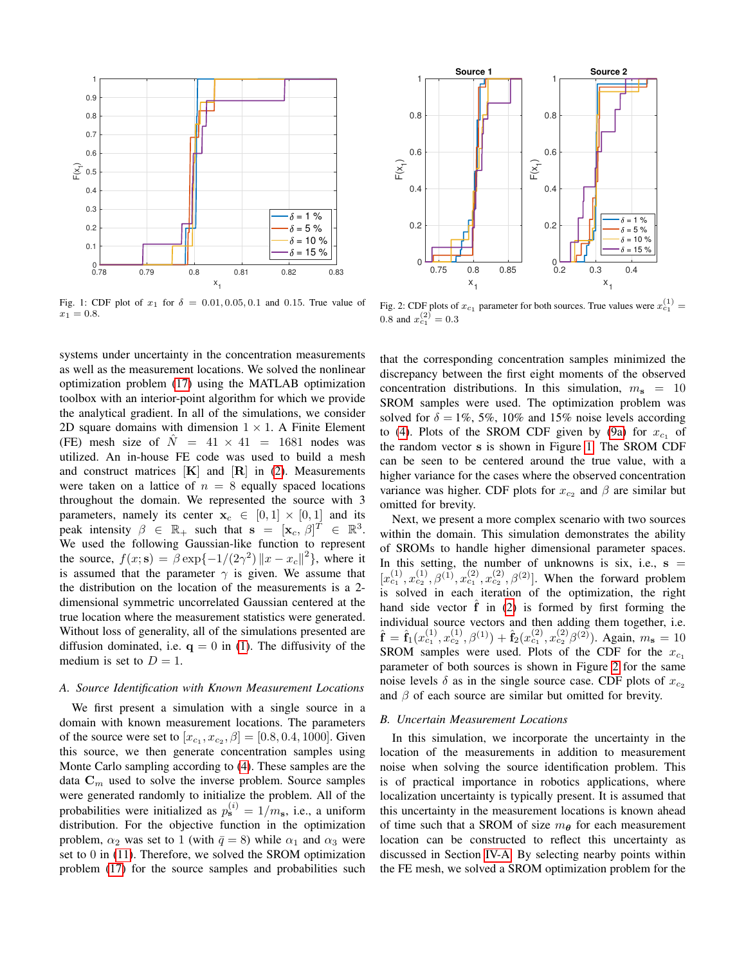<span id="page-4-0"></span>

Fig. 1: CDF plot of  $x_1$  for  $\delta = 0.01, 0.05, 0.1$  and 0.15. True value of  $x_1 = 0.8$ .

systems under uncertainty in the concentration measurements as well as the measurement locations. We solved the nonlinear optimization problem [\(17\)](#page-3-2) using the MATLAB optimization toolbox with an interior-point algorithm for which we provide the analytical gradient. In all of the simulations, we consider 2D square domains with dimension  $1 \times 1$ . A Finite Element (FE) mesh size of  $\hat{N} = 41 \times 41 = 1681$  nodes was utilized. An in-house FE code was used to build a mesh and construct matrices  $[K]$  and  $[R]$  in [\(2\)](#page-1-6). Measurements were taken on a lattice of  $n = 8$  equally spaced locations throughout the domain. We represented the source with 3 parameters, namely its center  $x_c \in [0,1] \times [0,1]$  and its peak intensity  $\beta \in \mathbb{R}_+$  such that  $\mathbf{s} = [\mathbf{x}_c, \beta]^T \in \mathbb{R}^3$ . We used the following Gaussian-like function to represent the source,  $f(x; s) = \beta \exp\{-1/(2\gamma^2) ||x - x_c||^2\}$ , where it is assumed that the parameter  $\gamma$  is given. We assume that the distribution on the location of the measurements is a 2 dimensional symmetric uncorrelated Gaussian centered at the true location where the measurement statistics were generated. Without loss of generality, all of the simulations presented are diffusion dominated, i.e.  $q = 0$  in [\(1\)](#page-1-2). The diffusivity of the medium is set to  $D = 1$ .

## *A. Source Identification with Known Measurement Locations*

We first present a simulation with a single source in a domain with known measurement locations. The parameters of the source were set to  $[x_{c_1}, x_{c_2}, \beta] = [0.8, 0.4, 1000]$ . Given this source, we then generate concentration samples using Monte Carlo sampling according to [\(4\)](#page-1-7). These samples are the data  $\mathbf{C}_m$  used to solve the inverse problem. Source samples were generated randomly to initialize the problem. All of the probabilities were initialized as  $p_{\mathbf{s}}^{(i)} = 1/m_{\mathbf{s}}$ , i.e., a uniform distribution. For the objective function in the optimization problem,  $\alpha_2$  was set to 1 (with  $\bar{q} = 8$ ) while  $\alpha_1$  and  $\alpha_3$  were set to 0 in [\(11\)](#page-2-5). Therefore, we solved the SROM optimization problem [\(17\)](#page-3-2) for the source samples and probabilities such

<span id="page-4-1"></span>

Fig. 2: CDF plots of  $x_{c_1}$  parameter for both sources. True values were  $x_{c_1}^{(1)} =$ 0.8 and  $x_{c_1}^{(2)} = 0.3$ 

that the corresponding concentration samples minimized the discrepancy between the first eight moments of the observed concentration distributions. In this simulation,  $m<sub>s</sub> = 10$ SROM samples were used. The optimization problem was solved for  $\delta = 1\%, 5\%, 10\%$  and 15% noise levels according to [\(4\)](#page-1-7). Plots of the SROM CDF given by [\(9a\)](#page-2-7) for  $x_{c_1}$  of the random vector s is shown in Figure [1.](#page-4-0) The SROM CDF can be seen to be centered around the true value, with a higher variance for the cases where the observed concentration variance was higher. CDF plots for  $x_{c_2}$  and  $\beta$  are similar but omitted for brevity.

Next, we present a more complex scenario with two sources within the domain. This simulation demonstrates the ability of SROMs to handle higher dimensional parameter spaces. In this setting, the number of unknowns is six, i.e.,  $s =$  $[x_{c_1}^{(1)}, x_{c_2}^{(1)}, \beta^{(1)}, x_{c_1}^{(2)}, x_{c_2}^{(2)}, \beta^{(2)}]$ . When the forward problem is solved in each iteration of the optimization, the right hand side vector  $\hat{f}$  in [\(2\)](#page-1-6) is formed by first forming the individual source vectors and then adding them together, i.e.  $\hat{\mathbf{f}} = \hat{\mathbf{f}}_1(x_{c_1}^{(1)}, x_{c_2}^{(1)}, \beta^{(1)}) + \hat{\mathbf{f}}_2(x_{c_1}^{(2)}, x_{c_2}^{(2)}\beta^{(2)})$ . Again,  $m_s = 10$ SROM samples were used. Plots of the CDF for the  $x_{c1}$ parameter of both sources is shown in Figure [2](#page-4-1) for the same noise levels  $\delta$  as in the single source case. CDF plots of  $x_{c_2}$ and  $\beta$  of each source are similar but omitted for brevity.

## *B. Uncertain Measurement Locations*

In this simulation, we incorporate the uncertainty in the location of the measurements in addition to measurement noise when solving the source identification problem. This is of practical importance in robotics applications, where localization uncertainty is typically present. It is assumed that this uncertainty in the measurement locations is known ahead of time such that a SROM of size  $m_{\theta}$  for each measurement location can be constructed to reflect this uncertainty as discussed in Section [IV-A.](#page-3-4) By selecting nearby points within the FE mesh, we solved a SROM optimization problem for the